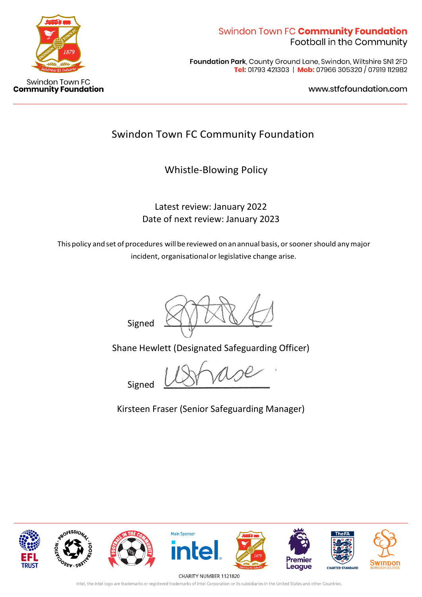

Foundation Park, County Ground Lane, Swindon, Wiltshire SNI 2FD Tel: 01793 421303 | Mob: 07966 305320 / 07919 112982

www.stfcfoundation.com

# Swindon Town FC Community Foundation

Whistle-Blowing Policy

Latest review: January 2022 Date of next review: January 2023

Thispolicy andset of procedures willbereviewed onanannual basis, orsooner should anymajor incident, organisationalor legislative change arise.

Signed

Shane Hewlett (Designated Safeguarding Officer)

Signed

Kirsteen Fraser (Senior Safeguarding Manager)



CHARITY NUMBER 1121820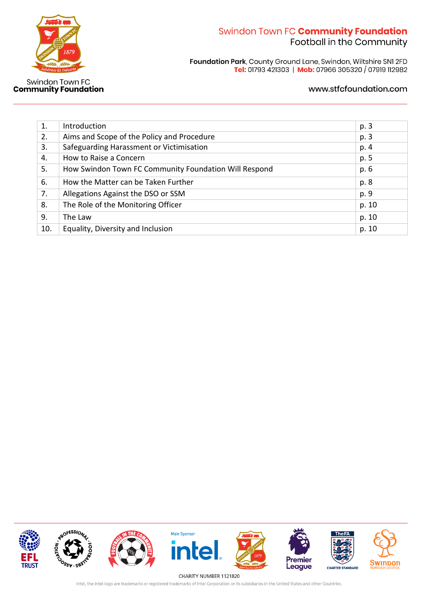

Swindon Town FC<br>Community Foundation

# Swindon Town FC Community Foundation Football in the Community

Foundation Park, County Ground Lane, Swindon, Wiltshire SN1 2FD<br>Tel: 01793 421303 | Mob: 07966 305320 / 07919 112982

### www.stfcfoundation.com

| 1.  | Introduction                                          | p. 3  |
|-----|-------------------------------------------------------|-------|
| 2.  | Aims and Scope of the Policy and Procedure            | p. 3  |
| 3.  | Safeguarding Harassment or Victimisation              | p. 4  |
| 4.  | How to Raise a Concern                                | p. 5  |
| 5.  | How Swindon Town FC Community Foundation Will Respond | p. 6  |
| 6.  | How the Matter can be Taken Further                   | p. 8  |
| 7.  | Allegations Against the DSO or SSM                    | p. 9  |
| 8.  | The Role of the Monitoring Officer                    | p. 10 |
| 9.  | The Law                                               | p. 10 |
| 10. | Equality, Diversity and Inclusion                     | p. 10 |

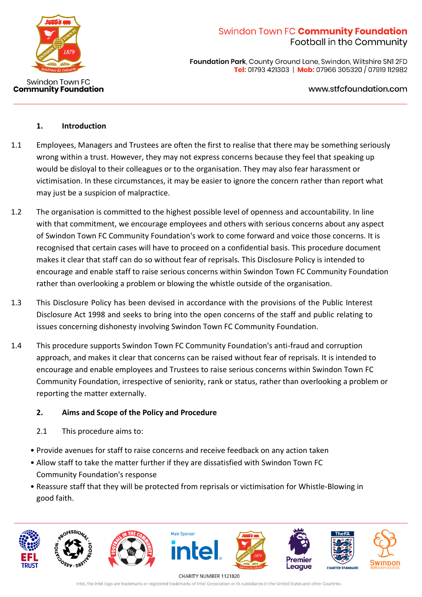

**Foundation Park, County Ground Lane, Swindon, Wiltshire SNI 2FD** Tel: 01793 421303 | Mob: 07966 305320 / 07919 112982

www.stfcfoundation.com

### **1. Introduction**

- 1.1 Employees, Managers and Trustees are often the first to realise that there may be something seriously wrong within a trust. However, they may not express concerns because they feel that speaking up would be disloyal to their colleagues or to the organisation. They may also fear harassment or victimisation. In these circumstances, it may be easier to ignore the concern rather than report what may just be a suspicion of malpractice.
- 1.2 The organisation is committed to the highest possible level of openness and accountability. In line with that commitment, we encourage employees and others with serious concerns about any aspect of Swindon Town FC Community Foundation's work to come forward and voice those concerns. It is recognised that certain cases will have to proceed on a confidential basis. This procedure document makes it clear that staff can do so without fear of reprisals. This Disclosure Policy is intended to encourage and enable staff to raise serious concerns within Swindon Town FC Community Foundation rather than overlooking a problem or blowing the whistle outside of the organisation.
- 1.3 This Disclosure Policy has been devised in accordance with the provisions of the Public Interest Disclosure Act 1998 and seeks to bring into the open concerns of the staff and public relating to issues concerning dishonesty involving Swindon Town FC Community Foundation.
- 1.4 This procedure supports Swindon Town FC Community Foundation's anti-fraud and corruption approach, and makes it clear that concerns can be raised without fear of reprisals. It is intended to encourage and enable employees and Trustees to raise serious concerns within Swindon Town FC Community Foundation, irrespective of seniority, rank or status, rather than overlooking a problem or reporting the matter externally.

### **2. Aims and Scope of the Policy and Procedure**

- 2.1 This procedure aims to:
- Provide avenues for staff to raise concerns and receive feedback on any action taken
- Allow staff to take the matter further if they are dissatisfied with Swindon Town FC Community Foundation's response
- Reassure staff that they will be protected from reprisals or victimisation for Whistle-Blowing in good faith.

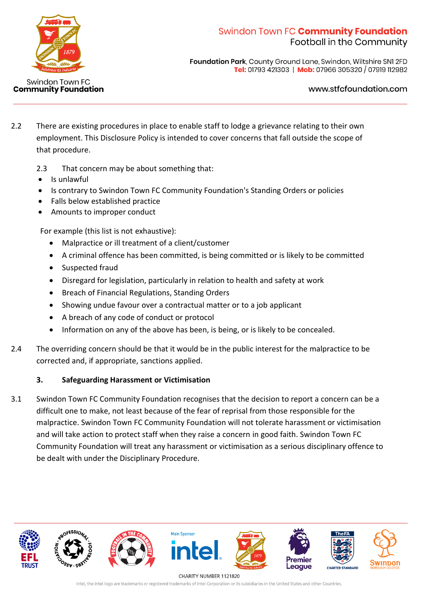

**Foundation Park, County Ground Lane, Swindon, Wiltshire SNI 2FD** Tel: 01793 421303 | Mob: 07966 305320 / 07919 112982

#### www.stfcfoundation.com

- 2.2 There are existing procedures in place to enable staff to lodge a grievance relating to their own employment. This Disclosure Policy is intended to cover concerns that fall outside the scope of that procedure.
	- 2.3 That concern may be about something that:
	- Is unlawful
	- Is contrary to Swindon Town FC Community Foundation's Standing Orders or policies
	- Falls below established practice
	- Amounts to improper conduct

For example (this list is not exhaustive):

- Malpractice or ill treatment of a client/customer
- A criminal offence has been committed, is being committed or is likely to be committed
- Suspected fraud
- Disregard for legislation, particularly in relation to health and safety at work
- Breach of Financial Regulations, Standing Orders
- Showing undue favour over a contractual matter or to a job applicant
- A breach of any code of conduct or protocol
- Information on any of the above has been, is being, or is likely to be concealed.
- 2.4 The overriding concern should be that it would be in the public interest for the malpractice to be corrected and, if appropriate, sanctions applied.

### **3. Safeguarding Harassment or Victimisation**

3.1 Swindon Town FC Community Foundation recognises that the decision to report a concern can be a difficult one to make, not least because of the fear of reprisal from those responsible for the malpractice. Swindon Town FC Community Foundation will not tolerate harassment or victimisation and will take action to protect staff when they raise a concern in good faith. Swindon Town FC Community Foundation will treat any harassment or victimisation as a serious disciplinary offence to be dealt with under the Disciplinary Procedure.

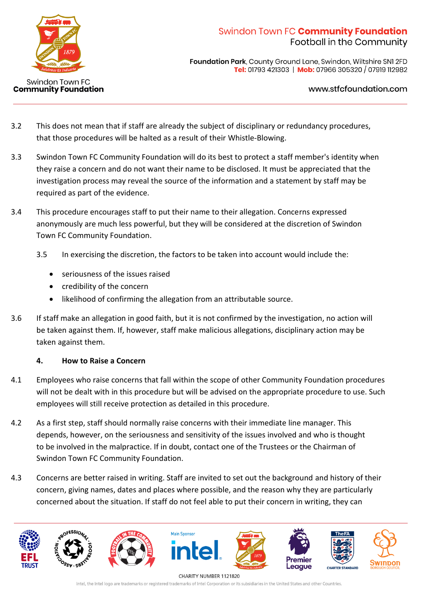

**Foundation Park, County Ground Lane, Swindon, Wiltshire SNI 2FD** Tel: 01793 421303 | Mob: 07966 305320 / 07919 112982

www.stfcfoundation.com

- 3.2 This does not mean that if staff are already the subject of disciplinary or redundancy procedures, that those procedures will be halted as a result of their Whistle-Blowing.
- 3.3 Swindon Town FC Community Foundation will do its best to protect a staff member's identity when they raise a concern and do not want their name to be disclosed. It must be appreciated that the investigation process may reveal the source of the information and a statement by staff may be required as part of the evidence.
- 3.4 This procedure encourages staff to put their name to their allegation. Concerns expressed anonymously are much less powerful, but they will be considered at the discretion of Swindon Town FC Community Foundation.
	- 3.5 In exercising the discretion, the factors to be taken into account would include the:
		- seriousness of the issues raised
		- credibility of the concern
		- likelihood of confirming the allegation from an attributable source.
- 3.6 If staff make an allegation in good faith, but it is not confirmed by the investigation, no action will be taken against them. If, however, staff make malicious allegations, disciplinary action may be taken against them.

### **4. How to Raise a Concern**

- 4.1 Employees who raise concerns that fall within the scope of other Community Foundation procedures will not be dealt with in this procedure but will be advised on the appropriate procedure to use. Such employees will still receive protection as detailed in this procedure.
- 4.2 As a first step, staff should normally raise concerns with their immediate line manager. This depends, however, on the seriousness and sensitivity of the issues involved and who is thought to be involved in the malpractice. If in doubt, contact one of the Trustees or the Chairman of Swindon Town FC Community Foundation.
- 4.3 Concerns are better raised in writing. Staff are invited to set out the background and history of their concern, giving names, dates and places where possible, and the reason why they are particularly concerned about the situation. If staff do not feel able to put their concern in writing, they can

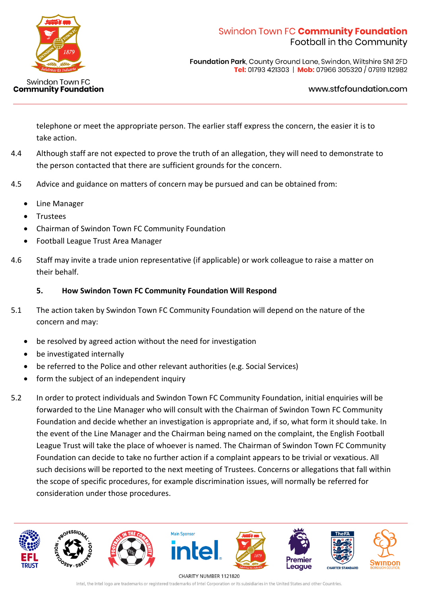

**Foundation Park, County Ground Lane, Swindon, Wiltshire SNI 2FD** Tel: 01793 421303 | Mob: 07966 305320 / 07919 112982

#### www.stfcfoundation.com

telephone or meet the appropriate person. The earlier staff express the concern, the easier it is to take action.

- 4.4 Although staff are not expected to prove the truth of an allegation, they will need to demonstrate to the person contacted that there are sufficient grounds for the concern.
- 4.5 Advice and guidance on matters of concern may be pursued and can be obtained from:
	- Line Manager
	- **Trustees**
	- Chairman of Swindon Town FC Community Foundation
	- Football League Trust Area Manager
- 4.6 Staff may invite a trade union representative (if applicable) or work colleague to raise a matter on their behalf.

#### **5. How Swindon Town FC Community Foundation Will Respond**

- 5.1 The action taken by Swindon Town FC Community Foundation will depend on the nature of the concern and may:
	- be resolved by agreed action without the need for investigation
	- be investigated internally
	- be referred to the Police and other relevant authorities (e.g. Social Services)
	- form the subject of an independent inquiry
- 5.2 In order to protect individuals and Swindon Town FC Community Foundation, initial enquiries will be forwarded to the Line Manager who will consult with the Chairman of Swindon Town FC Community Foundation and decide whether an investigation is appropriate and, if so, what form it should take. In the event of the Line Manager and the Chairman being named on the complaint, the English Football League Trust will take the place of whoever is named. The Chairman of Swindon Town FC Community Foundation can decide to take no further action if a complaint appears to be trivial or vexatious. All such decisions will be reported to the next meeting of Trustees. Concerns or allegations that fall within the scope of specific procedures, for example discrimination issues, will normally be referred for consideration under those procedures.

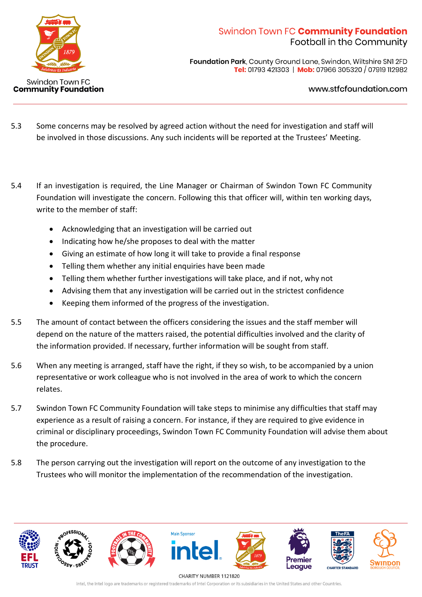

**Foundation Park, County Ground Lane, Swindon, Wiltshire SNI 2FD** Tel: 01793 421303 | Mob: 07966 305320 / 07919 112982

www.stfcfoundation.com

- 5.3 Some concerns may be resolved by agreed action without the need for investigation and staff will be involved in those discussions. Any such incidents will be reported at the Trustees' Meeting.
- 5.4 If an investigation is required, the Line Manager or Chairman of Swindon Town FC Community Foundation will investigate the concern. Following this that officer will, within ten working days, write to the member of staff:
	- Acknowledging that an investigation will be carried out
	- Indicating how he/she proposes to deal with the matter
	- Giving an estimate of how long it will take to provide a final response
	- Telling them whether any initial enquiries have been made
	- Telling them whether further investigations will take place, and if not, why not
	- Advising them that any investigation will be carried out in the strictest confidence
	- Keeping them informed of the progress of the investigation.
- 5.5 The amount of contact between the officers considering the issues and the staff member will depend on the nature of the matters raised, the potential difficulties involved and the clarity of the information provided. If necessary, further information will be sought from staff.
- 5.6 When any meeting is arranged, staff have the right, if they so wish, to be accompanied by a union representative or work colleague who is not involved in the area of work to which the concern relates.
- 5.7 Swindon Town FC Community Foundation will take steps to minimise any difficulties that staff may experience as a result of raising a concern. For instance, if they are required to give evidence in criminal or disciplinary proceedings, Swindon Town FC Community Foundation will advise them about the procedure.
- 5.8 The person carrying out the investigation will report on the outcome of any investigation to the Trustees who will monitor the implementation of the recommendation of the investigation.

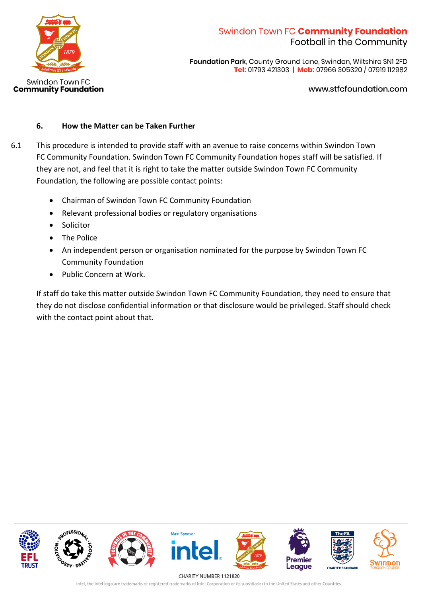

Foundation Park, County Ground Lane, Swindon, Wiltshire SNI 2FD Tel: 01793 421303 | Mob: 07966 305320 / 07919 112982

### www.stfcfoundation.com

## **6. How the Matter can be Taken Further**

- 6.1 This procedure is intended to provide staff with an avenue to raise concerns within Swindon Town FC Community Foundation. Swindon Town FC Community Foundation hopes staff will be satisfied. If they are not, and feel that it is right to take the matter outside Swindon Town FC Community Foundation, the following are possible contact points:
	- Chairman of Swindon Town FC Community Foundation
	- Relevant professional bodies or regulatory organisations
	- **Solicitor**
	- The Police
	- An independent person or organisation nominated for the purpose by Swindon Town FC Community Foundation
	- Public Concern at Work.

If staff do take this matter outside Swindon Town FC Community Foundation, they need to ensure that they do not disclose confidential information or that disclosure would be privileged. Staff should check with the contact point about that.



CHARITY NUMBER 1121820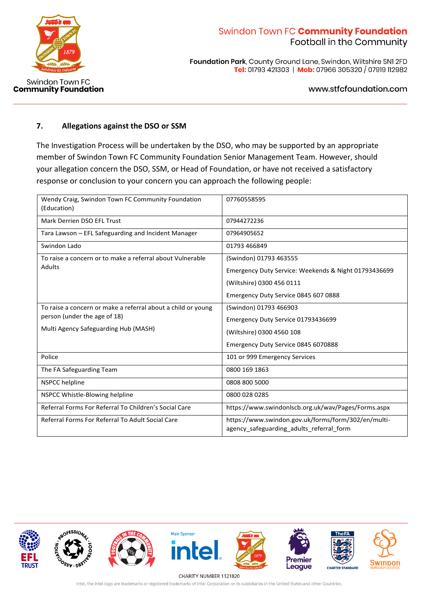

**Community Foundation** 

# Swindon Town FC Community Foundation Football in the Community

Foundation Park, County Ground Lane, Swindon, Wiltshire SN1 2FD Tel: 01793 421303 | Mob: 07966 305320 / 07919 112982

www.stfcfoundation.com

### **7. Allegations against the DSO or SSM**

The Investigation Process will be undertaken by the DSO, who may be supported by an appropriate member of Swindon Town FC Community Foundation Senior Management Team. However, should your allegation concern the DSO, SSM, or Head of Foundation, or have not received a satisfactory response or conclusion to your concern you can approach the following people:

| Wendy Craig, Swindon Town FC Community Foundation<br>(Education)                                                                     | 07760558595                                                                                                                                         |  |
|--------------------------------------------------------------------------------------------------------------------------------------|-----------------------------------------------------------------------------------------------------------------------------------------------------|--|
| Mark Derrien DSO EFL Trust                                                                                                           | 07944272236                                                                                                                                         |  |
| Tara Lawson – EFL Safeguarding and Incident Manager                                                                                  | 07964905652                                                                                                                                         |  |
| Swindon Lado                                                                                                                         | 01793 466849                                                                                                                                        |  |
| To raise a concern or to make a referral about Vulnerable<br>Adults                                                                  | (Swindon) 01793 463555<br>Emergency Duty Service: Weekends & Night 01793436699<br>(Wiltshire) 0300 456 0111<br>Emergency Duty Service 0845 607 0888 |  |
| To raise a concern or make a referral about a child or young<br>person (under the age of 18)<br>Multi Agency Safeguarding Hub (MASH) | (Swindon) 01793 466903<br>Emergency Duty Service 01793436699<br>(Wiltshire) 0300 4560 108<br>Emergency Duty Service 0845 6070888                    |  |
| Police                                                                                                                               | 101 or 999 Emergency Services                                                                                                                       |  |
| The FA Safeguarding Team                                                                                                             | 0800 169 1863                                                                                                                                       |  |
| <b>NSPCC helpline</b>                                                                                                                | 0808 800 5000                                                                                                                                       |  |
| NSPCC Whistle-Blowing helpline                                                                                                       | 0800 028 0285                                                                                                                                       |  |
| Referral Forms For Referral To Children's Social Care                                                                                | https://www.swindonlscb.org.uk/wav/Pages/Forms.aspx                                                                                                 |  |
| Referral Forms For Referral To Adult Social Care                                                                                     | https://www.swindon.gov.uk/forms/form/302/en/multi-<br>agency safeguarding adults referral form                                                     |  |